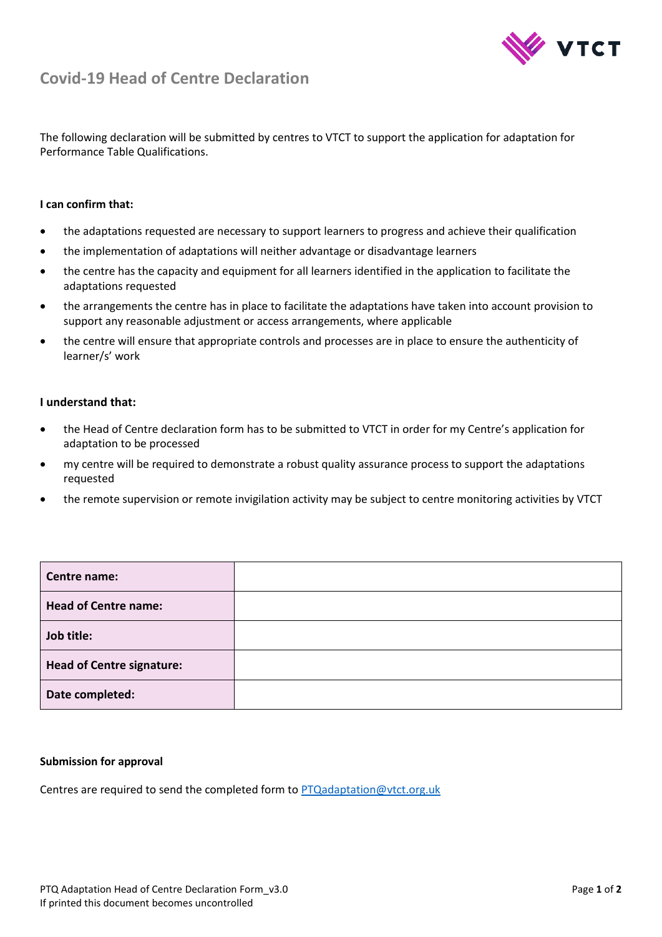

# **Covid-19 Head of Centre Declaration**

The following declaration will be submitted by centres to VTCT to support the application for adaptation for Performance Table Qualifications.

#### **I can confirm that:**

- the adaptations requested are necessary to support learners to progress and achieve their qualification
- the implementation of adaptations will neither advantage or disadvantage learners
- the centre has the capacity and equipment for all learners identified in the application to facilitate the adaptations requested
- the arrangements the centre has in place to facilitate the adaptations have taken into account provision to support any reasonable adjustment or access arrangements, where applicable
- the centre will ensure that appropriate controls and processes are in place to ensure the authenticity of learner/s' work

#### **I understand that:**

- the Head of Centre declaration form has to be submitted to VTCT in order for my Centre's application for adaptation to be processed
- my centre will be required to demonstrate a robust quality assurance process to support the adaptations requested
- the remote supervision or remote invigilation activity may be subject to centre monitoring activities by VTCT

| Centre name:                     |  |
|----------------------------------|--|
| <b>Head of Centre name:</b>      |  |
| Job title:                       |  |
| <b>Head of Centre signature:</b> |  |
| Date completed:                  |  |

#### **Submission for approval**

Centres are required to send the completed form to PTQadaptation@vtct.org.uk